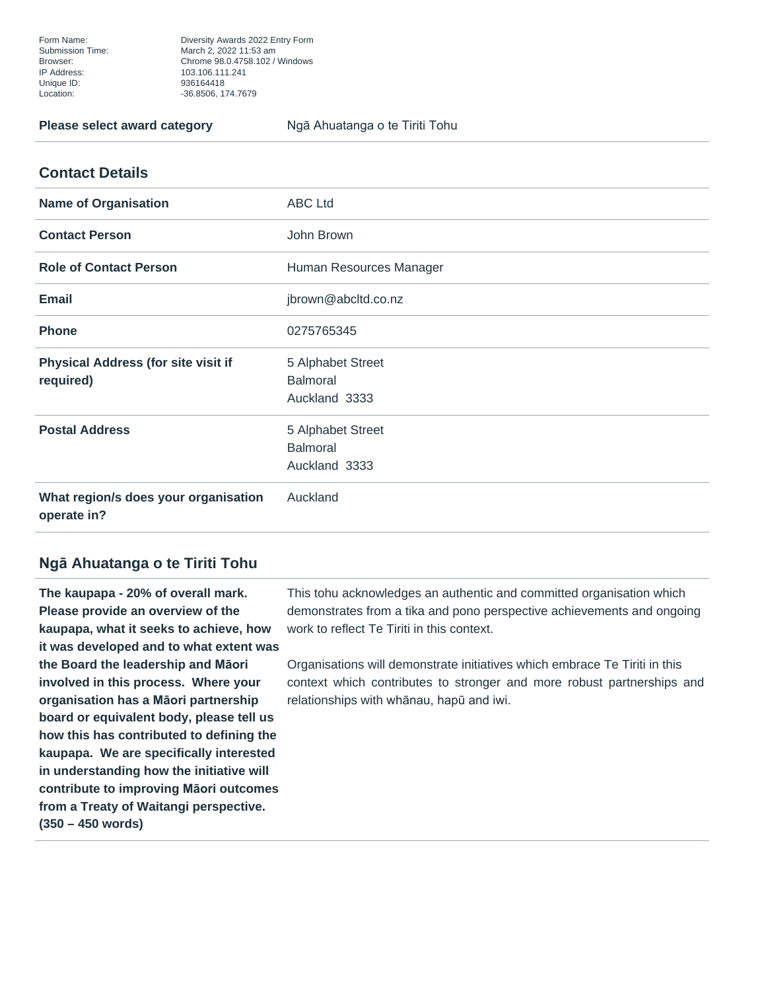Form Name: Diversity Awards 2022 Entry Form Submission Time: March 2, 2022 11:53 am Browser: Chrome 98.0.4758.102 / Windows 936164418 Location: -36.8506, 174.7679

**Please select award category example 3 Nga Ahuatanga o te Tiriti Tohu** 

| <b>Name of Organisation</b>                             | <b>ABC Ltd</b>                                        |
|---------------------------------------------------------|-------------------------------------------------------|
| <b>Contact Person</b>                                   | John Brown                                            |
| <b>Role of Contact Person</b>                           | Human Resources Manager                               |
| <b>Email</b>                                            | jbrown@abcltd.co.nz                                   |
| <b>Phone</b>                                            | 0275765345                                            |
| <b>Physical Address (for site visit if</b><br>required) | 5 Alphabet Street<br><b>Balmoral</b><br>Auckland 3333 |
| <b>Postal Address</b>                                   | 5 Alphabet Street<br><b>Balmoral</b><br>Auckland 3333 |
| What region/s does your organisation<br>operate in?     | Auckland                                              |

## **Ngā Ahuatanga o te Tiriti Tohu**

**The kaupapa - 20% of overall mark. Please provide an overview of the kaupapa, what it seeks to achieve, how it was developed and to what extent was the Board the leadership and Māori involved in this process. Where your organisation has a Māori partnership board or equivalent body, please tell us how this has contributed to defining the kaupapa. We are specifically interested in understanding how the initiative will contribute to improving Māori outcomes from a Treaty of Waitangi perspective. (350 – 450 words)**

This tohu acknowledges an authentic and committed organisation which demonstrates from a tika and pono perspective achievements and ongoing work to reflect Te Tiriti in this context.

Organisations will demonstrate initiatives which embrace Te Tiriti in this context which contributes to stronger and more robust partnerships and relationships with whānau, hapū and iwi.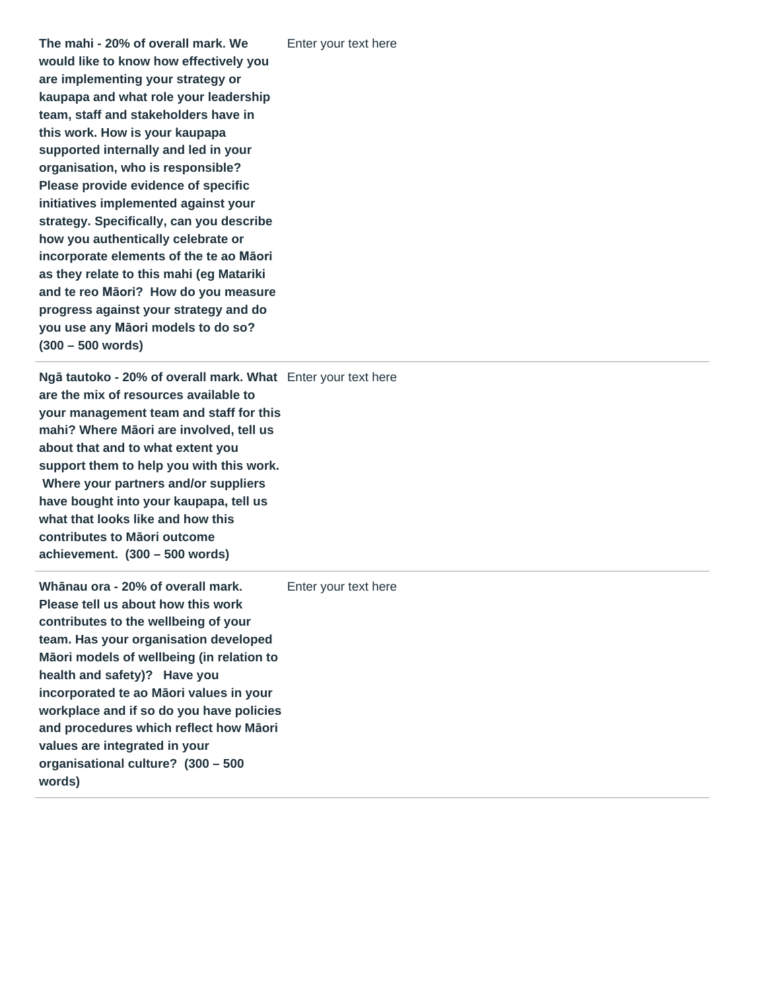**The mahi - 20% of overall mark. We would like to know how effectively you are implementing your strategy or kaupapa and what role your leadership team, staff and stakeholders have in this work. How is your kaupapa supported internally and led in your organisation, who is responsible? Please provide evidence of specific initiatives implemented against your strategy. Specifically, can you describe how you authentically celebrate or incorporate elements of the te ao Māori as they relate to this mahi (eg Matariki and te reo Māori? How do you measure progress against your strategy and do you use any Māori models to do so? (300 – 500 words)**

**Ngā tautoko - 20% of overall mark. What** Enter your text here **are the mix of resources available to your management team and staff for this mahi? Where Māori are involved, tell us about that and to what extent you support them to help you with this work. Where your partners and/or suppliers have bought into your kaupapa, tell us what that looks like and how this contributes to Māori outcome achievement. (300 – 500 words)**

**Whānau ora - 20% of overall mark. Please tell us about how this work contributes to the wellbeing of your team. Has your organisation developed Māori models of wellbeing (in relation to health and safety)? Have you incorporated te ao Māori values in your workplace and if so do you have policies and procedures which reflect how Māori values are integrated in your organisational culture? (300 – 500 words)** Enter your text here

Enter your text here